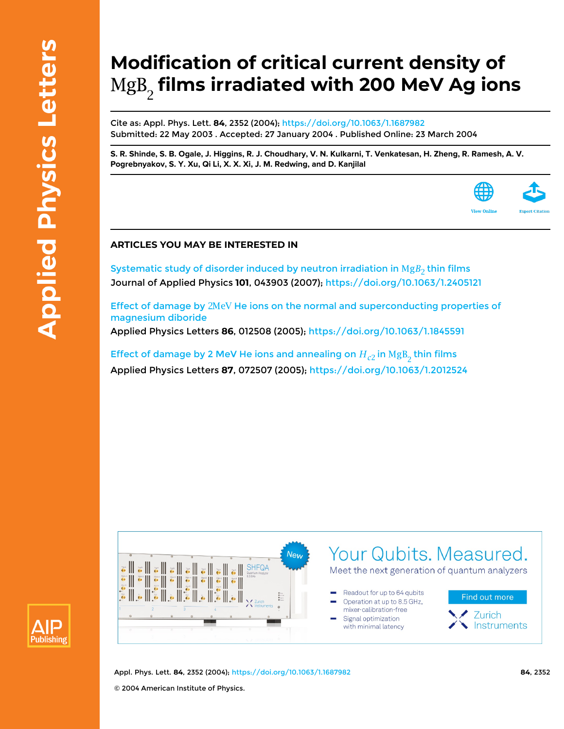# **Modification of critical current density of films irradiated with 200 MeV Ag ions**

Cite as: Appl. Phys. Lett. **84**, 2352 (2004);<https://doi.org/10.1063/1.1687982> Submitted: 22 May 2003 . Accepted: 27 January 2004 . Published Online: 23 March 2004

[S. R. Shinde,](https://aip.scitation.org/author/Shinde%2C+S+R) [S. B. Ogale](https://aip.scitation.org/author/Ogale%2C+S+B), [J. Higgins](https://aip.scitation.org/author/Higgins%2C+J), [R. J. Choudhary](https://aip.scitation.org/author/Choudhary%2C+R+J), [V. N. Kulkarni](https://aip.scitation.org/author/Kulkarni%2C+V+N), [T. Venkatesan](https://aip.scitation.org/author/Venkatesan%2C+T), [H. Zheng](https://aip.scitation.org/author/Zheng%2C+H), [R. Ramesh,](https://aip.scitation.org/author/Ramesh%2C+R) [A. V.](https://aip.scitation.org/author/Pogrebnyakov%2C+A+V) **[Pogrebnyakov,](https://aip.scitation.org/author/Pogrebnyakov%2C+A+V) [S. Y. Xu](https://aip.scitation.org/author/Xu%2C+S+Y), [Qi Li](https://aip.scitation.org/author/Li%2C+Qi), [X. X. Xi](https://aip.scitation.org/author/Xi%2C+X+X), [J. M. Redwing,](https://aip.scitation.org/author/Redwing%2C+J+M) and [D. Kanjilal](https://aip.scitation.org/author/Kanjilal%2C+D)**



## **ARTICLES YOU MAY BE INTERESTED IN**

Systematic study of disorder induced by neutron irradiation in  $\text{Mg}B_2$  thin films Journal of Applied Physics **101**, 043903 (2007); <https://doi.org/10.1063/1.2405121>

Effect of damage by 2MeV He ions on the normal and superconducting properties of [magnesium diboride](https://aip.scitation.org/doi/10.1063/1.1845591) Applied Physics Letters **86**, 012508 (2005);<https://doi.org/10.1063/1.1845591>

Effect of damage by 2 MeV He ions and annealing on  $H_{c2}$  in  $\text{MgB}_2$  thin films Applied Physics Letters **87**, 072507 (2005);<https://doi.org/10.1063/1.2012524>





Appl. Phys. Lett. **84**, 2352 (2004); <https://doi.org/10.1063/1.1687982> **84**, 2352 © 2004 American Institute of Physics.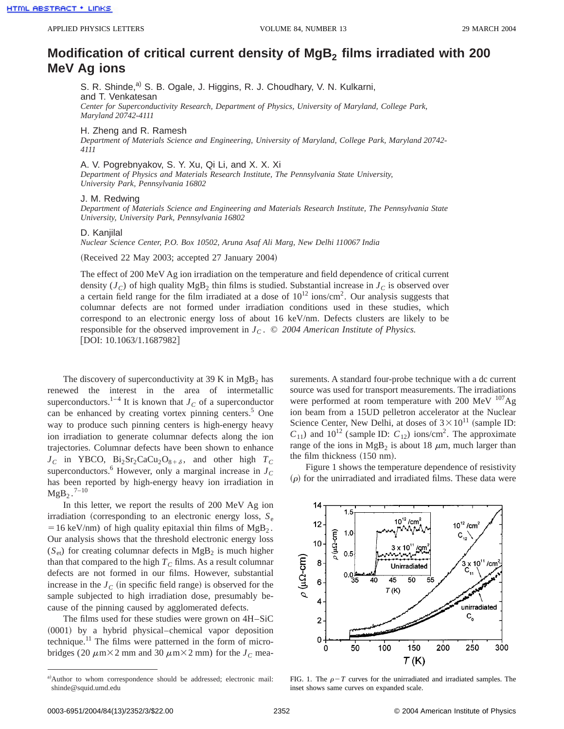## **Modification of critical current density of MgB<sub>2</sub> films irradiated with 200 MeV Ag ions**

S. R. Shinde,<sup>a)</sup> S. B. Ogale, J. Higgins, R. J. Choudhary, V. N. Kulkarni, and T. Venkatesan *Center for Superconductivity Research, Department of Physics, University of Maryland, College Park, Maryland 20742-4111*

H. Zheng and R. Ramesh

*Department of Materials Science and Engineering, University of Maryland, College Park, Maryland 20742- 4111*

A. V. Pogrebnyakov, S. Y. Xu, Qi Li, and X. X. Xi

*Department of Physics and Materials Research Institute, The Pennsylvania State University, University Park, Pennsylvania 16802*

### J. M. Redwing

*Department of Materials Science and Engineering and Materials Research Institute, The Pennsylvania State University, University Park, Pennsylvania 16802*

#### D. Kanjilal

*Nuclear Science Center, P.O. Box 10502, Aruna Asaf Ali Marg, New Delhi 110067 India*

(Received 22 May 2003; accepted 27 January 2004)

The effect of 200 MeV Ag ion irradiation on the temperature and field dependence of critical current density  $(J_C)$  of high quality MgB<sub>2</sub> thin films is studied. Substantial increase in  $J_C$  is observed over a certain field range for the film irradiated at a dose of  $10^{12}$  ions/cm<sup>2</sup>. Our analysis suggests that columnar defects are not formed under irradiation conditions used in these studies, which correspond to an electronic energy loss of about 16 keV/nm. Defects clusters are likely to be responsible for the observed improvement in  $J_c$ .  $\odot$  2004 American Institute of Physics.  $[DOI: 10.1063/1.1687982]$ 

The discovery of superconductivity at 39 K in  $MgB<sub>2</sub>$  has renewed the interest in the area of intermetallic superconductors.<sup>1–4</sup> It is known that  $J_C$  of a superconductor can be enhanced by creating vortex pinning centers. $5$  One way to produce such pinning centers is high-energy heavy ion irradiation to generate columnar defects along the ion trajectories. Columnar defects have been shown to enhance  $J_C$  in YBCO,  $Bi_2Sr_2CaCu_2O_{8+\delta}$ , and other high  $T_C$ superconductors.<sup>6</sup> However, only a marginal increase in  $J<sub>C</sub>$ has been reported by high-energy heavy ion irradiation in  $MgB_2$ .<sup>7–10</sup>

In this letter, we report the results of 200 MeV Ag ion irradiation (corresponding to an electronic energy loss,  $S_e$  $=16 \text{ keV/nm}$ ) of high quality epitaxial thin films of MgB<sub>2</sub>. Our analysis shows that the threshold electronic energy loss  $(S_{et})$  for creating columnar defects in MgB<sub>2</sub> is much higher than that compared to the high  $T_C$  films. As a result columnar defects are not formed in our films. However, substantial increase in the  $J_C$  (in specific field range) is observed for the sample subjected to high irradiation dose, presumably because of the pinning caused by agglomerated defects.

The films used for these studies were grown on 4H–SiC  $(0001)$  by a hybrid physical–chemical vapor deposition technique.<sup>11</sup> The films were patterned in the form of microbridges (20  $\mu$ m×2 mm and 30  $\mu$ m×2 mm) for the *J<sub>C</sub>* measurements. A standard four-probe technique with a dc current source was used for transport measurements. The irradiations were performed at room temperature with 200 MeV  $^{107}$ Ag ion beam from a 15UD pelletron accelerator at the Nuclear Science Center, New Delhi, at doses of  $3 \times 10^{11}$  (sample ID:  $C_{11}$ ) and  $10^{12}$  (sample ID:  $C_{12}$ ) ions/cm<sup>2</sup>. The approximate range of the ions in  $MgB_2$  is about 18  $\mu$ m, much larger than the film thickness  $(150 \text{ nm})$ .

Figure 1 shows the temperature dependence of resistivity  $(\rho)$  for the unirradiated and irradiated films. These data were



FIG. 1. The  $\rho-T$  curves for the unirradiated and irradiated samples. The inset shows same curves on expanded scale.

a)Author to whom correspondence should be addressed; electronic mail: shinde@squid.umd.edu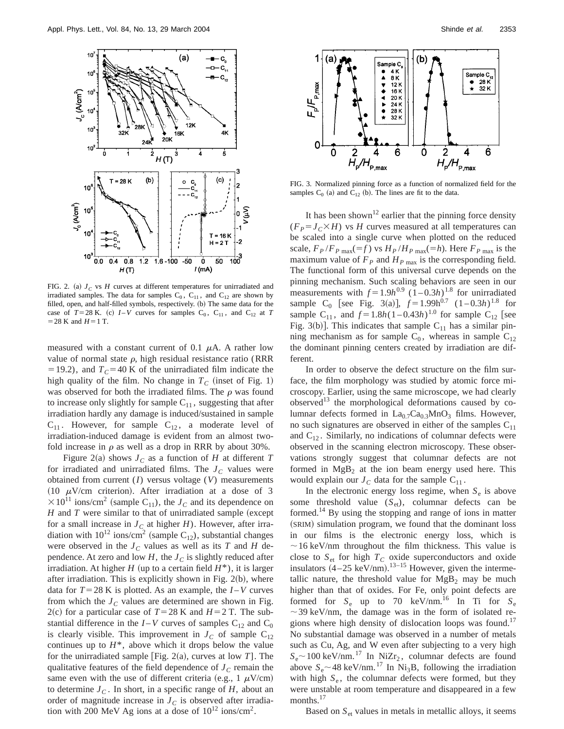

FIG. 2. (a)  $J_C$  vs  $H$  curves at different temperatures for unirradiated and irradiated samples. The data for samples  $C_0$ ,  $C_{11}$ , and  $C_{12}$  are shown by filled, open, and half-filled symbols, respectively. (b) The same data for the case of  $T=28$  K. (c)  $I-V$  curves for samples  $C_0$ ,  $C_{11}$ , and  $C_{12}$  at  $T$  $=$  28 K and *H* = 1 T.

measured with a constant current of 0.1  $\mu$ A. A rather low value of normal state  $\rho$ , high residual resistance ratio (RRR  $=19.2$ ), and  $T_c=40$  K of the unirradiated film indicate the high quality of the film. No change in  $T_c$  (inset of Fig. 1) was observed for both the irradiated films. The  $\rho$  was found to increase only slightly for sample  $C_{11}$ , suggesting that after irradiation hardly any damage is induced/sustained in sample  $C_{11}$ . However, for sample  $C_{12}$ , a moderate level of irradiation-induced damage is evident from an almost twofold increase in  $\rho$  as well as a drop in RRR by about 30%.

Figure 2(a) shows  $J_C$  as a function of *H* at different *T* for irradiated and unirradiated films. The  $J<sub>C</sub>$  values were obtained from current (*I*) versus voltage (*V*) measurements (10  $\mu$ V/cm criterion). After irradiation at a dose of 3  $\times 10^{11}$  ions/cm<sup>2</sup> (sample C<sub>11</sub>), the *J<sub>C</sub>* and its dependence on  $H$  and  $T$  were similar to that of unirradiated sample (except for a small increase in  $J<sub>C</sub>$  at higher *H*). However, after irradiation with  $10^{12}$  ions/cm<sup>2</sup> (sample C<sub>12</sub>), substantial changes were observed in the  $J_C$  values as well as its *T* and *H* dependence. At zero and low  $H$ , the  $J_C$  is slightly reduced after irradiation. At higher *H* (up to a certain field  $H^*$ ), it is larger after irradiation. This is explicitly shown in Fig.  $2(b)$ , where data for  $T=28$  K is plotted. As an example, the  $I-V$  curves from which the  $J<sub>C</sub>$  values are determined are shown in Fig. 2(c) for a particular case of  $T=28$  K and  $H=2$  T. The substantial difference in the  $I - V$  curves of samples  $C_{12}$  and  $C_0$ is clearly visible. This improvement in  $J_C$  of sample  $C_{12}$ continues up to  $H^*$ , above which it drops below the value for the unirradiated sample [Fig.  $2(a)$ , curves at low *T*]. The qualitative features of the field dependence of  $J_C$  remain the same even with the use of different criteria (e.g., 1  $\mu$ V/cm) to determine  $J_C$ . In short, in a specific range of  $H$ , about an order of magnitude increase in  $J<sub>C</sub>$  is observed after irradiation with 200 MeV Ag ions at a dose of  $10^{12}$  ions/cm<sup>2</sup>.



FIG. 3. Normalized pinning force as a function of normalized field for the samples  $C_0$  (a) and  $C_{12}$  (b). The lines are fit to the data.

It has been shown<sup>12</sup> earlier that the pinning force density  $(F_P = J_C \times H)$  vs *H* curves measured at all temperatures can be scaled into a single curve when plotted on the reduced scale,  $F_P/F_{P\text{ max}}(=f)$  vs  $H_P/H_{P\text{ max}}(=h)$ . Here  $F_{P\text{ max}}$  is the maximum value of  $F_P$  and  $H_{P \text{ max}}$  is the corresponding field. The functional form of this universal curve depends on the pinning mechanism. Such scaling behaviors are seen in our measurements with  $f = 1.9h^{0.9} (1 - 0.3h)^{1.8}$  for unirradiated sample C<sub>0</sub> [see Fig. 3(a)],  $f = 1.99h^{0.7} (1 - 0.3h)^{1.8}$  for sample C<sub>11</sub>, and  $f = 1.8h(1 - 0.43h)^{1.0}$  for sample C<sub>12</sub> [see Fig. 3(b)]. This indicates that sample  $C_{11}$  has a similar pinning mechanism as for sample  $C_0$ , whereas in sample  $C_{12}$ the dominant pinning centers created by irradiation are different.

In order to observe the defect structure on the film surface, the film morphology was studied by atomic force microscopy. Earlier, using the same microscope, we had clearly observed $^{13}$  the morphological deformations caused by columnar defects formed in  $La_{0.7}Ca_{0.3}MnO_3$  films. However, no such signatures are observed in either of the samples  $C_{11}$ and  $C_{12}$ . Similarly, no indications of columnar defects were observed in the scanning electron microscopy. These observations strongly suggest that columnar defects are not formed in  $Mg_{B_2}$  at the ion beam energy used here. This would explain our  $J_C$  data for the sample  $C_{11}$ .

In the electronic energy loss regime, when  $S_e$  is above some threshold value  $(S_{et})$ , columnar defects can be formed.<sup>14</sup> By using the stopping and range of ions in matter  $(SRIM)$  simulation program, we found that the dominant loss in our films is the electronic energy loss, which is  $\sim$  16 keV/nm throughout the film thickness. This value is close to  $S_{et}$  for high  $T_C$  oxide superconductors and oxide insulators  $(4-25 \text{ keV/nm})$ .<sup>13-15</sup> However, given the intermetallic nature, the threshold value for  $MgB<sub>2</sub>$  may be much higher than that of oxides. For Fe, only point defects are formed for  $S_e$  up to 70 keV/nm.<sup>16</sup> In Ti for  $S_e$  $\sim$  39 keV/nm, the damage was in the form of isolated regions where high density of dislocation loops was found.<sup>17</sup> No substantial damage was observed in a number of metals such as Cu, Ag, and W even after subjecting to a very high  $S_e \sim 100 \text{ keV/nm.}^{17}$  In NiZr<sub>2</sub>, columnar defects are found above  $S_e \sim 48 \text{ keV/nm.}^{17}$  In Ni<sub>3</sub>B, following the irradiation with high  $S_e$ , the columnar defects were formed, but they were unstable at room temperature and disappeared in a few months.<sup>17</sup>

Based on  $S_{\text{et}}$  values in metals in metallic alloys, it seems